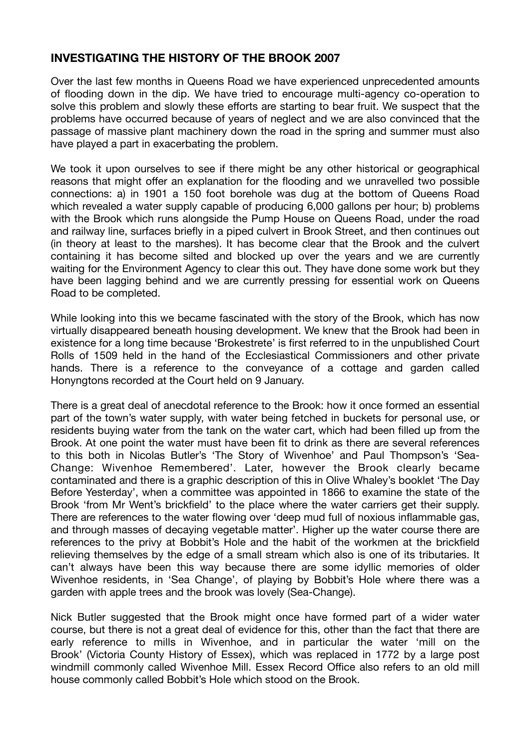## **INVESTIGATING THE HISTORY OF THE BROOK 2007**

Over the last few months in Queens Road we have experienced unprecedented amounts of flooding down in the dip. We have tried to encourage multi-agency co-operation to solve this problem and slowly these efforts are starting to bear fruit. We suspect that the problems have occurred because of years of neglect and we are also convinced that the passage of massive plant machinery down the road in the spring and summer must also have played a part in exacerbating the problem.

We took it upon ourselves to see if there might be any other historical or geographical reasons that might offer an explanation for the flooding and we unravelled two possible connections: a) in 1901 a 150 foot borehole was dug at the bottom of Queens Road which revealed a water supply capable of producing 6,000 gallons per hour; b) problems with the Brook which runs alongside the Pump House on Queens Road, under the road and railway line, surfaces briefly in a piped culvert in Brook Street, and then continues out (in theory at least to the marshes). It has become clear that the Brook and the culvert containing it has become silted and blocked up over the years and we are currently waiting for the Environment Agency to clear this out. They have done some work but they have been lagging behind and we are currently pressing for essential work on Queens Road to be completed.

While looking into this we became fascinated with the story of the Brook, which has now virtually disappeared beneath housing development. We knew that the Brook had been in existence for a long time because 'Brokestrete' is first referred to in the unpublished Court Rolls of 1509 held in the hand of the Ecclesiastical Commissioners and other private hands. There is a reference to the conveyance of a cottage and garden called Honyngtons recorded at the Court held on 9 January.

There is a great deal of anecdotal reference to the Brook: how it once formed an essential part of the town's water supply, with water being fetched in buckets for personal use, or residents buying water from the tank on the water cart, which had been filled up from the Brook. At one point the water must have been fit to drink as there are several references to this both in Nicolas Butler's 'The Story of Wivenhoe' and Paul Thompson's 'Sea-Change: Wivenhoe Remembered'. Later, however the Brook clearly became contaminated and there is a graphic description of this in Olive Whaley's booklet 'The Day Before Yesterday', when a committee was appointed in 1866 to examine the state of the Brook 'from Mr Went's brickfield' to the place where the water carriers get their supply. There are references to the water flowing over 'deep mud full of noxious inflammable gas, and through masses of decaying vegetable matter'. Higher up the water course there are references to the privy at Bobbit's Hole and the habit of the workmen at the brickfield relieving themselves by the edge of a small stream which also is one of its tributaries. It can't always have been this way because there are some idyllic memories of older Wivenhoe residents, in 'Sea Change', of playing by Bobbit's Hole where there was a garden with apple trees and the brook was lovely (Sea-Change).

Nick Butler suggested that the Brook might once have formed part of a wider water course, but there is not a great deal of evidence for this, other than the fact that there are early reference to mills in Wivenhoe, and in particular the water 'mill on the Brook' (Victoria County History of Essex), which was replaced in 1772 by a large post windmill commonly called Wivenhoe Mill. Essex Record Office also refers to an old mill house commonly called Bobbit's Hole which stood on the Brook.